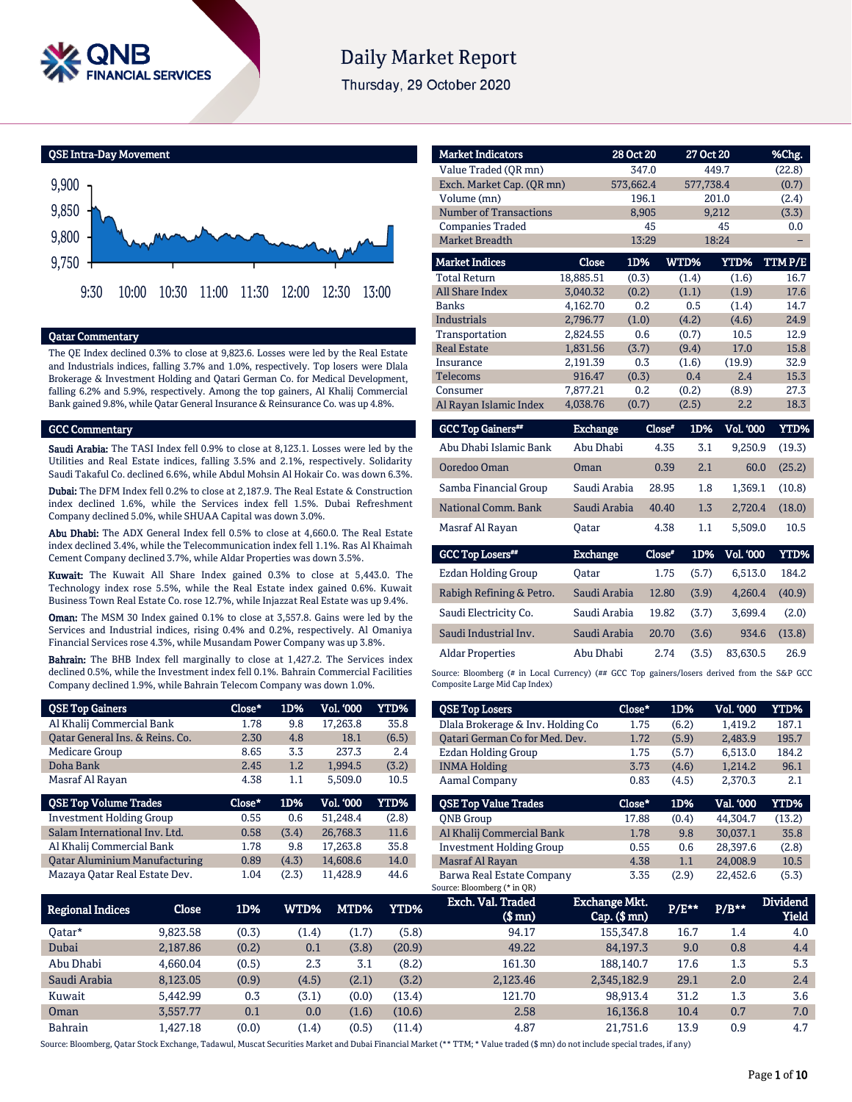

# **Daily Market Report**

Thursday, 29 October 2020



## Qatar Commentary

The QE Index declined 0.3% to close at 9,823.6. Losses were led by the Real Estate and Industrials indices, falling 3.7% and 1.0%, respectively. Top losers were Dlala Brokerage & Investment Holding and Qatari German Co. for Medical Development, falling 6.2% and 5.9%, respectively. Among the top gainers, Al Khalij Commercial Bank gained 9.8%, while Qatar General Insurance & Reinsurance Co. was up 4.8%.

#### GCC Commentary

Saudi Arabia: The TASI Index fell 0.9% to close at 8,123.1. Losses were led by the Utilities and Real Estate indices, falling 3.5% and 2.1%, respectively. Solidarity Saudi Takaful Co. declined 6.6%, while Abdul Mohsin Al Hokair Co. was down 6.3%.

Dubai: The DFM Index fell 0.2% to close at 2,187.9. The Real Estate & Construction index declined 1.6%, while the Services index fell 1.5%. Dubai Refreshment Company declined 5.0%, while SHUAA Capital was down 3.0%.

Abu Dhabi: The ADX General Index fell 0.5% to close at 4,660.0. The Real Estate index declined 3.4%, while the Telecommunication index fell 1.1%. Ras Al Khaimah Cement Company declined 3.7%, while Aldar Properties was down 3.5%.

Kuwait: The Kuwait All Share Index gained 0.3% to close at 5,443.0. The Technology index rose 5.5%, while the Real Estate index gained 0.6%. Kuwait Business Town Real Estate Co. rose 12.7%, while Injazzat Real Estate was up 9.4%.

Oman: The MSM 30 Index gained 0.1% to close at 3,557.8. Gains were led by the Services and Industrial indices, rising 0.4% and 0.2%, respectively. Al Omaniya Financial Services rose 4.3%, while Musandam Power Company was up 3.8%.

Bahrain: The BHB Index fell marginally to close at 1,427.2. The Services index declined 0.5%, while the Investment index fell 0.1%. Bahrain Commercial Facilities Company declined 1.9%, while Bahrain Telecom Company was down 1.0%.

| <b>QSE Top Gainers</b>               | Close* | 1D%   | <b>Vol. '000</b> | YTD%        |
|--------------------------------------|--------|-------|------------------|-------------|
| Al Khalij Commercial Bank            | 1.78   | 9.8   | 17.263.8         | 35.8        |
| Oatar General Ins. & Reins. Co.      | 2.30   | 4.8   | 18.1             | (6.5)       |
| <b>Medicare Group</b>                | 8.65   | 3.3   | 237.3            | 2.4         |
| Doha Bank                            | 2.45   | 1.2   | 1,994.5          | (3.2)       |
| Masraf Al Rayan                      | 4.38   | 1.1   | 5.509.0          | 10.5        |
|                                      |        |       |                  |             |
| <b>QSE Top Volume Trades</b>         | Close* | 1D%   | <b>Vol. '000</b> | <b>YTD%</b> |
| <b>Investment Holding Group</b>      | 0.55   | 0.6   | 51.248.4         | (2.8)       |
| Salam International Inv. Ltd.        | 0.58   | (3.4) | 26.768.3         | 11.6        |
| Al Khalij Commercial Bank            | 1.78   | 9.8   | 17.263.8         | 35.8        |
| <b>Qatar Aluminium Manufacturing</b> | 0.89   | (4.3) | 14.608.6         | 14.0        |

| <b>Market Indicators</b>      |           | 28 Oct 20 | 27 Oct 20 |           | %Chg.  |
|-------------------------------|-----------|-----------|-----------|-----------|--------|
| Value Traded (QR mn)          |           | 347.0     |           | 449.7     |        |
| Exch. Market Cap. (QR mn)     |           | 573,662.4 | 577,738.4 |           | (0.7)  |
| Volume (mn)                   |           | 196.1     |           | 201.0     | (2.4)  |
| <b>Number of Transactions</b> |           | 8,905     |           | 9,212     | (3.3)  |
| <b>Companies Traded</b>       |           | 45        |           | 45        | 0.0    |
| <b>Market Breadth</b>         |           | 13:29     |           | 18:24     |        |
| <b>Market Indices</b>         | Close     | 1D%       | WTD%      | YTD%      | TTMP/E |
| <b>Total Return</b>           | 18.885.51 | (0.3)     | (1.4)     | (1.6)     | 16.7   |
| <b>All Share Index</b>        | 3,040.32  | (0.2)     | (1.1)     | (1.9)     | 17.6   |
| <b>Banks</b>                  | 4,162.70  | 0.2       | 0.5       | (1.4)     | 14.7   |
| <b>Industrials</b>            | 2,796.77  | (1.0)     | (4.2)     | (4.6)     | 24.9   |
| Transportation                | 2,824.55  | 0.6       | (0.7)     | 10.5      | 12.9   |
| <b>Real Estate</b>            | 1,831.56  | (3.7)     | (9.4)     | 17.0      | 15.8   |
| Insurance                     | 2,191.39  | 0.3       | (1.6)     | (19.9)    | 32.9   |
| <b>Telecoms</b>               | 916.47    | (0.3)     | 0.4       | 2.4       | 15.3   |
| Consumer                      | 7,877.21  | 0.2       | (0.2)     | (8.9)     | 27.3   |
| Al Rayan Islamic Index        | 4,038.76  | (0.7)     | (2.5)     | 2.2       | 18.3   |
| -----<br>- -                  | - -       | - 1       | ----      | -- - ---- | ---    |

| <b>GCC Top Gainers</b> " | <b>Exchange</b> | Close" | 1D%     | <b>Vol. '000</b> | YTD%   |
|--------------------------|-----------------|--------|---------|------------------|--------|
| Abu Dhabi Islamic Bank   | Abu Dhabi       | 4.35   | 3.1     | 9.250.9          | (19.3) |
| Ooredoo Oman             | Oman            | 0.39   | 2.1     | 60.0             | (25.2) |
| Samba Financial Group    | Saudi Arabia    | 28.95  | 1.8     | 1.369.1          | (10.8) |
| National Comm. Bank      | Saudi Arabia    | 40.40  | 1.3     | 2.720.4          | (18.0) |
| Masraf Al Rayan          | Oatar           | 4.38   | $1.1\,$ | 5.509.0          | 10.5   |
|                          |                 |        |         |                  |        |

| <b>GCC Top Losers**</b>  | <b>Exchange</b> | Close" | 1D%   | Vol. '000 | YTD%   |
|--------------------------|-----------------|--------|-------|-----------|--------|
| Ezdan Holding Group      | Oatar           | 1.75   | (5.7) | 6.513.0   | 184.2  |
| Rabigh Refining & Petro. | Saudi Arabia    | 12.80  | (3.9) | 4.260.4   | (40.9) |
| Saudi Electricity Co.    | Saudi Arabia    | 19.82  | (3.7) | 3.699.4   | (2.0)  |
| Saudi Industrial Inv.    | Saudi Arabia    | 20.70  | (3.6) | 934.6     | (13.8) |
| <b>Aldar Properties</b>  | Abu Dhabi       | 2.74   | (3.5) | 83.630.5  | 26.9   |

Source: Bloomberg (# in Local Currency) (## GCC Top gainers/losers derived from the S&P GCC Composite Large Mid Cap Index)

| <b>QSE Top Losers</b>             | Close* | 1D%   | <b>Vol. '000</b> | YTD%   |
|-----------------------------------|--------|-------|------------------|--------|
| Dlala Brokerage & Inv. Holding Co | 1.75   | (6.2) | 1.419.2          | 187.1  |
| Oatari German Co for Med. Dev.    | 1.72   | (5.9) | 2.483.9          | 195.7  |
| Ezdan Holding Group               | 1.75   | (5.7) | 6,513.0          | 184.2  |
| <b>INMA Holding</b>               | 3.73   | (4.6) | 1.214.2          | 96.1   |
| Aamal Company                     | 0.83   | (4.5) | 2.370.3          | 2.1    |
|                                   |        |       |                  |        |
|                                   |        |       |                  |        |
| <b>OSE Top Value Trades</b>       | Close* | 1D%   | Val. '000        | YTD%   |
| <b>ONB</b> Group                  | 17.88  | (0.4) | 44.304.7         | (13.2) |
| Al Khalij Commercial Bank         | 1.78   | 9.8   | 30.037.1         | 35.8   |
| <b>Investment Holding Group</b>   | 0.55   | 0.6   | 28,397.6         | (2.8)  |
| Masraf Al Rayan                   | 4.38   | 1.1   | 24.008.9         | 10.5   |

| Regional Indices | Close    | 1D%   | WTD%' | MTD%  | YTD%   | Exch. Val. Traded<br>$$$ mn $)$ | Exchange Mkt.<br>$Cap.$ (\$ mn) | $P/E***$ | $P/B**$ | <b>Dividend</b><br><b>Yield</b> |
|------------------|----------|-------|-------|-------|--------|---------------------------------|---------------------------------|----------|---------|---------------------------------|
| 0atar*           | 9.823.58 | (0.3) | (1.4) | (1.7) | (5.8)  | 94.17                           | 155,347.8                       | 16.7     | 1.4     | 4.0                             |
| Dubai            | 2.187.86 | (0.2) | 0.1   | (3.8) | (20.9) | 49.22                           | 84.197.3                        | 9.0      | 0.8     | 4.4                             |
| Abu Dhabi        | 4.660.04 | (0.5) | 2.3   | 3.1   | (8.2)  | 161.30                          | 188.140.7                       | 17.6     | 1.3     | 5.3                             |
| Saudi Arabia     | 8.123.05 | (0.9) | (4.5) | (2.1) | (3.2)  | 2.123.46                        | 2,345,182.9                     | 29.1     | 2.0     | 2.4                             |
| Kuwait           | 5.442.99 | 0.3   | (3.1) | (0.0) | (13.4) | 121.70                          | 98.913.4                        | 31.2     | 1.3     | 3.6                             |
| Oman             | 3.557.77 | 0.1   | 0.0   | (1.6) | (10.6) | 2.58                            | 16,136.8                        | 10.4     | 0.7     | 7.0                             |
| <b>Bahrain</b>   | .427.18  | (0.0) | (1.4) | (0.5) | (11.4) | 4.87                            | 21.751.6                        | 13.9     | 0.9     | 4.7                             |

Source: Bloomberg, Qatar Stock Exchange, Tadawul, Muscat Securities Market and Dubai Financial Market (\*\* TTM; \* Value traded (\$ mn) do not include special trades, if any)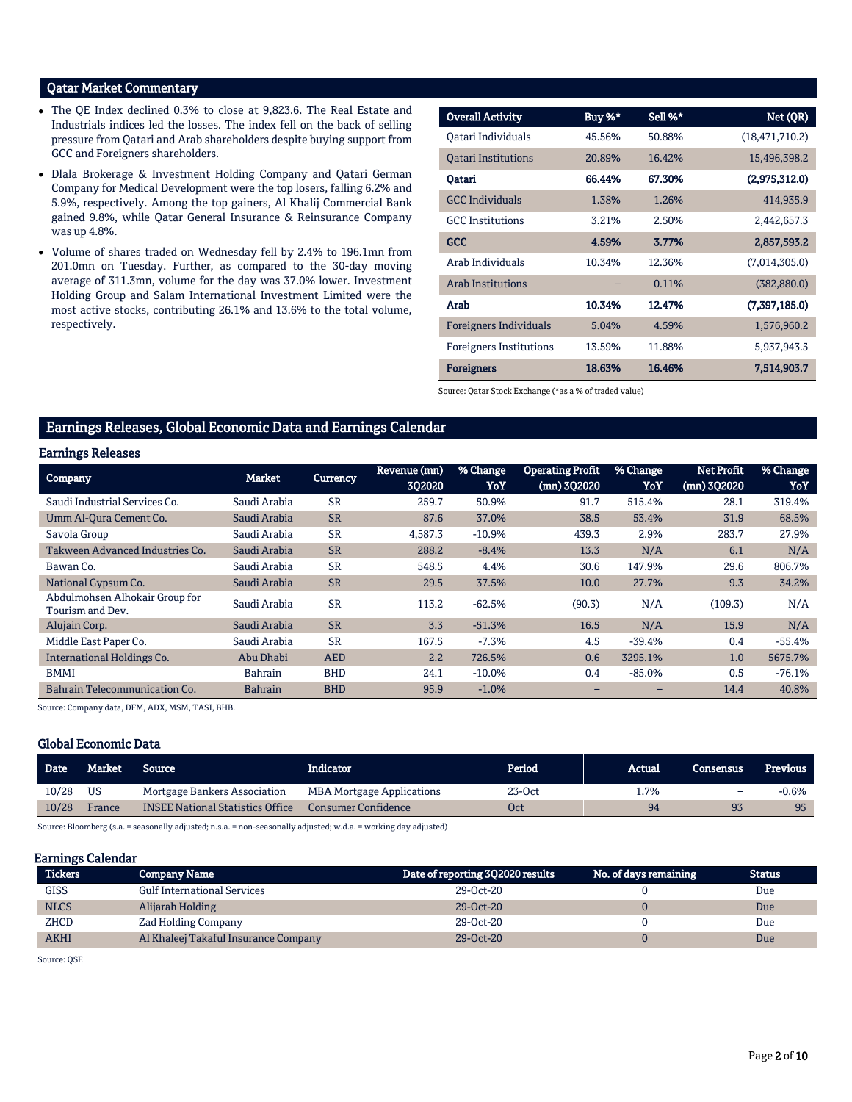## Qatar Market Commentary

- The QE Index declined 0.3% to close at 9,823.6. The Real Estate and Industrials indices led the losses. The index fell on the back of selling pressure from Qatari and Arab shareholders despite buying support from GCC and Foreigners shareholders.
- Dlala Brokerage & Investment Holding Company and Qatari German Company for Medical Development were the top losers, falling 6.2% and 5.9%, respectively. Among the top gainers, Al Khalij Commercial Bank gained 9.8%, while Qatar General Insurance & Reinsurance Company was up 4.8%.
- Volume of shares traded on Wednesday fell by 2.4% to 196.1mn from 201.0mn on Tuesday. Further, as compared to the 30-day moving average of 311.3mn, volume for the day was 37.0% lower. Investment Holding Group and Salam International Investment Limited were the most active stocks, contributing 26.1% and 13.6% to the total volume, respectively.

| <b>Overall Activity</b>        | Buy %* | Sell %* | Net (QR)         |
|--------------------------------|--------|---------|------------------|
| Oatari Individuals             | 45.56% | 50.88%  | (18, 471, 710.2) |
| <b>Oatari Institutions</b>     | 20.89% | 16.42%  | 15,496,398.2     |
| Oatari                         | 66.44% | 67.30%  | (2,975,312.0)    |
| <b>GCC</b> Individuals         | 1.38%  | 1.26%   | 414,935.9        |
| <b>GCC</b> Institutions        | 3.21%  | 2.50%   | 2,442,657.3      |
| <b>GCC</b>                     | 4.59%  | 3.77%   | 2,857,593.2      |
| Arab Individuals               | 10.34% | 12.36%  | (7,014,305.0)    |
| <b>Arab Institutions</b>       |        | 0.11%   | (382, 880.0)     |
| Arab                           | 10.34% | 12.47%  | (7,397,185.0)    |
| <b>Foreigners Individuals</b>  | 5.04%  | 4.59%   | 1,576,960.2      |
| <b>Foreigners Institutions</b> | 13.59% | 11.88%  | 5,937,943.5      |
| <b>Foreigners</b>              | 18.63% | 16.46%  | 7,514,903.7      |

Source: Qatar Stock Exchange (\*as a % of traded value)

## Earnings Releases, Global Economic Data and Earnings Calendar

#### Earnings Releases

| <b>Company</b>                                     | Market         | <b>Currency</b> | Revenue (mn)<br>302020 | % Change<br>YoY | <b>Operating Profit</b><br>(mn) 3Q2020 | % Change<br>YoY | <b>Net Profit</b><br>$(mn)$ 302020 | % Change<br>YoY |
|----------------------------------------------------|----------------|-----------------|------------------------|-----------------|----------------------------------------|-----------------|------------------------------------|-----------------|
| Saudi Industrial Services Co.                      | Saudi Arabia   | <b>SR</b>       | 259.7                  | 50.9%           | 91.7                                   | 515.4%          | 28.1                               | 319.4%          |
| Umm Al-Qura Cement Co.                             | Saudi Arabia   | <b>SR</b>       | 87.6                   | 37.0%           | 38.5                                   | 53.4%           | 31.9                               | 68.5%           |
| Savola Group                                       | Saudi Arabia   | <b>SR</b>       | 4,587.3                | $-10.9%$        | 439.3                                  | 2.9%            | 283.7                              | 27.9%           |
| Takween Advanced Industries Co.                    | Saudi Arabia   | <b>SR</b>       | 288.2                  | $-8.4%$         | 13.3                                   | N/A             | 6.1                                | N/A             |
| Bawan Co.                                          | Saudi Arabia   | <b>SR</b>       | 548.5                  | 4.4%            | 30.6                                   | 147.9%          | 29.6                               | 806.7%          |
| National Gypsum Co.                                | Saudi Arabia   | <b>SR</b>       | 29.5                   | 37.5%           | 10.0                                   | 27.7%           | 9.3                                | 34.2%           |
| Abdulmohsen Alhokair Group for<br>Tourism and Dev. | Saudi Arabia   | <b>SR</b>       | 113.2                  | $-62.5%$        | (90.3)                                 | N/A             | (109.3)                            | N/A             |
| Alujain Corp.                                      | Saudi Arabia   | <b>SR</b>       | 3.3                    | $-51.3%$        | 16.5                                   | N/A             | 15.9                               | N/A             |
| Middle East Paper Co.                              | Saudi Arabia   | <b>SR</b>       | 167.5                  | $-7.3%$         | 4.5                                    | $-39.4%$        | 0.4                                | -55.4%          |
| International Holdings Co.                         | Abu Dhabi      | <b>AED</b>      | 2.2                    | 726.5%          | 0.6                                    | 3295.1%         | 1.0                                | 5675.7%         |
| <b>BMMI</b>                                        | Bahrain        | <b>BHD</b>      | 24.1                   | $-10.0%$        | 0.4                                    | $-85.0%$        | 0.5                                | $-76.1%$        |
| Bahrain Telecommunication Co.                      | <b>Bahrain</b> | <b>BHD</b>      | 95.9                   | $-1.0%$         |                                        |                 | 14.4                               | 40.8%           |

Source: Company data, DFM, ADX, MSM, TASI, BHB.

### Global Economic Data

| Date  | Market. | Source                                  | Indicator                        | Period | Actual | Consensus | <b>Previous</b> |
|-------|---------|-----------------------------------------|----------------------------------|--------|--------|-----------|-----------------|
| 10/28 | US      | Mortgage Bankers Association            | <b>MBA Mortgage Applications</b> | 23-Oct | .7%    | -         | 0.6%            |
| 10/28 | France  | <b>INSEE National Statistics Office</b> | <b>Consumer Confidence</b>       | Oct    | 94     | 93        | 95              |

Source: Bloomberg (s.a. = seasonally adjusted; n.s.a. = non-seasonally adjusted; w.d.a. = working day adjusted)

#### Earnings Calendar

| <b>Tickers</b> | <b>Company Name</b>                  | Date of reporting 3Q2020 results | No. of days remaining | <b>Status</b> |
|----------------|--------------------------------------|----------------------------------|-----------------------|---------------|
| <b>GISS</b>    | <b>Gulf International Services</b>   | 29-Oct-20                        |                       | Due           |
| <b>NLCS</b>    | Alijarah Holding                     | 29-Oct-20                        |                       | Due           |
| ZHCD           | Zad Holding Company                  | 29-Oct-20                        |                       | Due           |
| <b>AKHI</b>    | Al Khaleej Takaful Insurance Company | 29-Oct-20                        |                       | Due           |

Source: QSE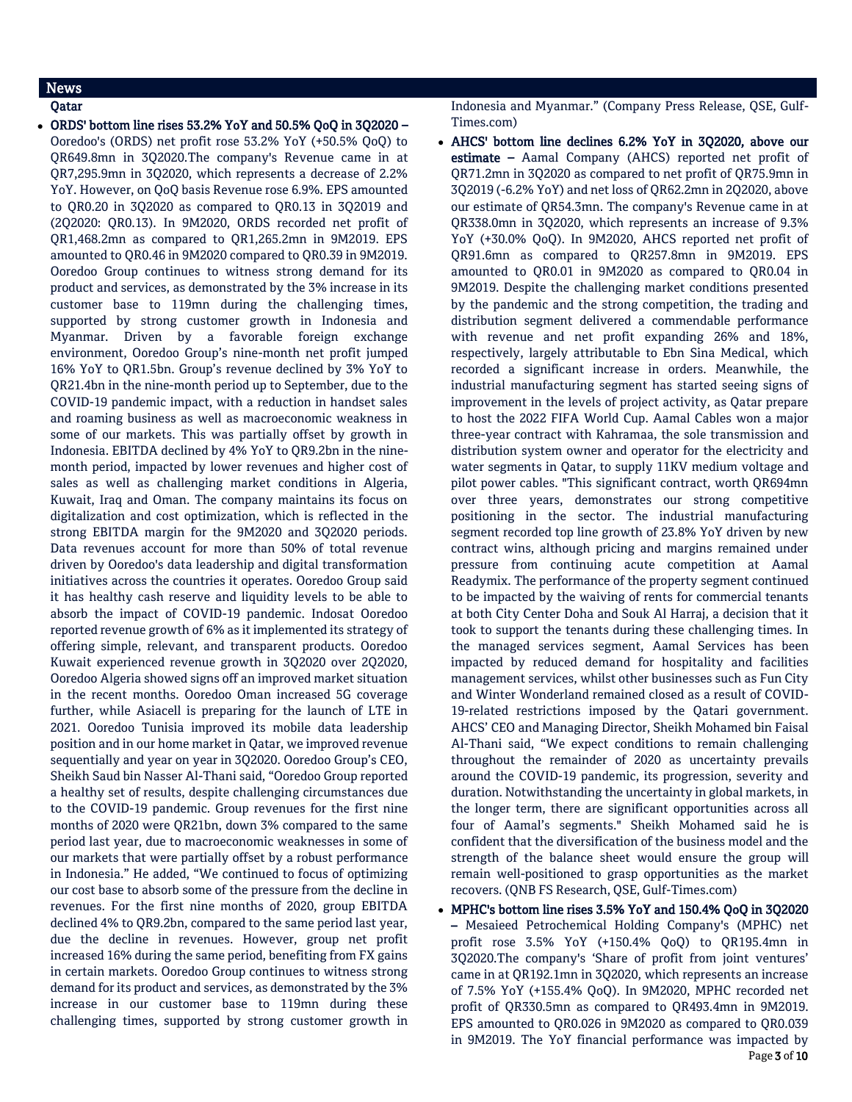## News

Qatar

 ORDS' bottom line rises 53.2% YoY and 50.5% QoQ in 3Q2020 – Ooredoo's (ORDS) net profit rose 53.2% YoY (+50.5% QoQ) to QR649.8mn in 3Q2020.The company's Revenue came in at QR7,295.9mn in 3Q2020, which represents a decrease of 2.2% YoY. However, on QoQ basis Revenue rose 6.9%. EPS amounted to QR0.20 in 3Q2020 as compared to QR0.13 in 3Q2019 and (2Q2020: QR0.13). In 9M2020, ORDS recorded net profit of QR1,468.2mn as compared to QR1,265.2mn in 9M2019. EPS amounted to QR0.46 in 9M2020 compared to QR0.39 in 9M2019. Ooredoo Group continues to witness strong demand for its product and services, as demonstrated by the 3% increase in its customer base to 119mn during the challenging times, supported by strong customer growth in Indonesia and Myanmar. Driven by a favorable foreign exchange environment, Ooredoo Group's nine-month net profit jumped 16% YoY to QR1.5bn. Group's revenue declined by 3% YoY to QR21.4bn in the nine-month period up to September, due to the COVID-19 pandemic impact, with a reduction in handset sales and roaming business as well as macroeconomic weakness in some of our markets. This was partially offset by growth in Indonesia. EBITDA declined by 4% YoY to QR9.2bn in the ninemonth period, impacted by lower revenues and higher cost of sales as well as challenging market conditions in Algeria, Kuwait, Iraq and Oman. The company maintains its focus on digitalization and cost optimization, which is reflected in the strong EBITDA margin for the 9M2020 and 3Q2020 periods. Data revenues account for more than 50% of total revenue driven by Ooredoo's data leadership and digital transformation initiatives across the countries it operates. Ooredoo Group said it has healthy cash reserve and liquidity levels to be able to absorb the impact of COVID-19 pandemic. Indosat Ooredoo reported revenue growth of 6% as it implemented its strategy of offering simple, relevant, and transparent products. Ooredoo Kuwait experienced revenue growth in 3Q2020 over 2Q2020, Ooredoo Algeria showed signs off an improved market situation in the recent months. Ooredoo Oman increased 5G coverage further, while Asiacell is preparing for the launch of LTE in 2021. Ooredoo Tunisia improved its mobile data leadership position and in our home market in Qatar, we improved revenue sequentially and year on year in 3Q2020. Ooredoo Group's CEO, Sheikh Saud bin Nasser Al-Thani said, "Ooredoo Group reported a healthy set of results, despite challenging circumstances due to the COVID-19 pandemic. Group revenues for the first nine months of 2020 were QR21bn, down 3% compared to the same period last year, due to macroeconomic weaknesses in some of our markets that were partially offset by a robust performance in Indonesia." He added, "We continued to focus of optimizing our cost base to absorb some of the pressure from the decline in revenues. For the first nine months of 2020, group EBITDA declined 4% to QR9.2bn, compared to the same period last year, due the decline in revenues. However, group net profit increased 16% during the same period, benefiting from FX gains in certain markets. Ooredoo Group continues to witness strong demand for its product and services, as demonstrated by the 3% increase in our customer base to 119mn during these challenging times, supported by strong customer growth in

Indonesia and Myanmar." (Company Press Release, QSE, Gulf-Times.com)

- AHCS' bottom line declines 6.2% YoY in 3Q2020, above our estimate – Aamal Company (AHCS) reported net profit of QR71.2mn in 3Q2020 as compared to net profit of QR75.9mn in 3Q2019 (-6.2% YoY) and net loss of QR62.2mn in 2Q2020, above our estimate of QR54.3mn. The company's Revenue came in at QR338.0mn in 3Q2020, which represents an increase of 9.3% YoY (+30.0% QoQ). In 9M2020, AHCS reported net profit of QR91.6mn as compared to QR257.8mn in 9M2019. EPS amounted to QR0.01 in 9M2020 as compared to QR0.04 in 9M2019. Despite the challenging market conditions presented by the pandemic and the strong competition, the trading and distribution segment delivered a commendable performance with revenue and net profit expanding 26% and 18%, respectively, largely attributable to Ebn Sina Medical, which recorded a significant increase in orders. Meanwhile, the industrial manufacturing segment has started seeing signs of improvement in the levels of project activity, as Qatar prepare to host the 2022 FIFA World Cup. Aamal Cables won a major three-year contract with Kahramaa, the sole transmission and distribution system owner and operator for the electricity and water segments in Qatar, to supply 11KV medium voltage and pilot power cables. "This significant contract, worth QR694mn over three years, demonstrates our strong competitive positioning in the sector. The industrial manufacturing segment recorded top line growth of 23.8% YoY driven by new contract wins, although pricing and margins remained under pressure from continuing acute competition at Aamal Readymix. The performance of the property segment continued to be impacted by the waiving of rents for commercial tenants at both City Center Doha and Souk Al Harraj, a decision that it took to support the tenants during these challenging times. In the managed services segment, Aamal Services has been impacted by reduced demand for hospitality and facilities management services, whilst other businesses such as Fun City and Winter Wonderland remained closed as a result of COVID-19-related restrictions imposed by the Qatari government. AHCS' CEO and Managing Director, Sheikh Mohamed bin Faisal Al-Thani said, "We expect conditions to remain challenging throughout the remainder of 2020 as uncertainty prevails around the COVID-19 pandemic, its progression, severity and duration. Notwithstanding the uncertainty in global markets, in the longer term, there are significant opportunities across all four of Aamal's segments." Sheikh Mohamed said he is confident that the diversification of the business model and the strength of the balance sheet would ensure the group will remain well-positioned to grasp opportunities as the market recovers. (QNB FS Research, QSE, Gulf-Times.com)
- Page 3 of 10 MPHC's bottom line rises 3.5% YoY and 150.4% QoQ in 3Q2020 – Mesaieed Petrochemical Holding Company's (MPHC) net profit rose 3.5% YoY (+150.4% QoQ) to QR195.4mn in 3Q2020.The company's 'Share of profit from joint ventures' came in at QR192.1mn in 3Q2020, which represents an increase of 7.5% YoY (+155.4% QoQ). In 9M2020, MPHC recorded net profit of QR330.5mn as compared to QR493.4mn in 9M2019. EPS amounted to QR0.026 in 9M2020 as compared to QR0.039 in 9M2019. The YoY financial performance was impacted by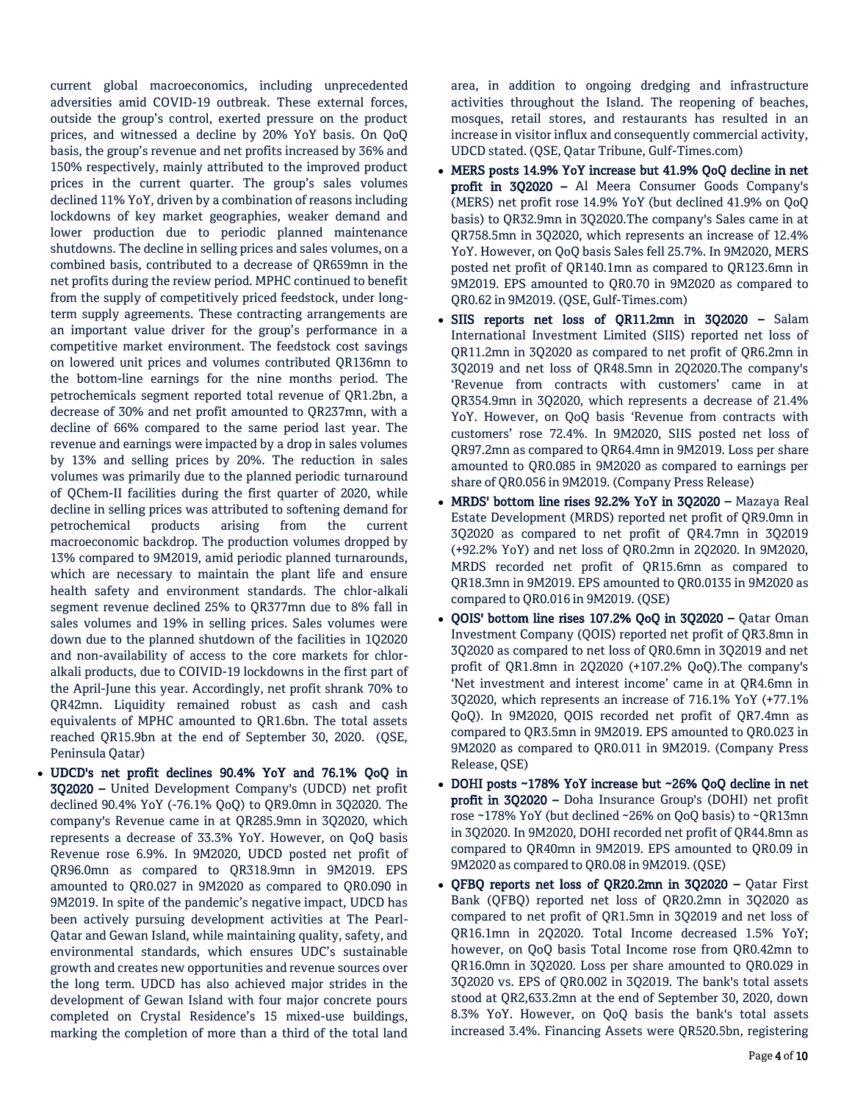current global macroeconomics, including unprecedented adversities amid COVID-19 outbreak. These external forces, outside the group's control, exerted pressure on the product prices, and witnessed a decline by 20% YoY basis. On QoQ basis, the group's revenue and net profits increased by 36% and 150% respectively, mainly attributed to the improved product prices in the current quarter. The group's sales volumes declined 11% YoY, driven by a combination of reasons including lockdowns of key market geographies, weaker demand and lower production due to periodic planned maintenance shutdowns. The decline in selling prices and sales volumes, on a combined basis, contributed to a decrease of QR659mn in the net profits during the review period. MPHC continued to benefit from the supply of competitively priced feedstock, under longterm supply agreements. These contracting arrangements are an important value driver for the group's performance in a competitive market environment. The feedstock cost savings on lowered unit prices and volumes contributed QR136mn to the bottom-line earnings for the nine months period. The petrochemicals segment reported total revenue of QR1.2bn, a decrease of 30% and net profit amounted to QR237mn, with a decline of 66% compared to the same period last year. The revenue and earnings were impacted by a drop in sales volumes by 13% and selling prices by 20%. The reduction in sales volumes was primarily due to the planned periodic turnaround of QChem-II facilities during the first quarter of 2020, while decline in selling prices was attributed to softening demand for petrochemical products arising from the current macroeconomic backdrop. The production volumes dropped by 13% compared to 9M2019, amid periodic planned turnarounds, which are necessary to maintain the plant life and ensure health safety and environment standards. The chlor-alkali segment revenue declined 25% to QR377mn due to 8% fall in sales volumes and 19% in selling prices. Sales volumes were down due to the planned shutdown of the facilities in 1Q2020 and non-availability of access to the core markets for chloralkali products, due to COIVID-19 lockdowns in the first part of the April-June this year. Accordingly, net profit shrank 70% to QR42mn. Liquidity remained robust as cash and cash equivalents of MPHC amounted to QR1.6bn. The total assets reached QR15.9bn at the end of September 30, 2020. (QSE, Peninsula Qatar)

 UDCD's net profit declines 90.4% YoY and 76.1% QoQ in 3Q2020 – United Development Company's (UDCD) net profit declined 90.4% YoY (-76.1% QoQ) to QR9.0mn in 3Q2020. The company's Revenue came in at QR285.9mn in 3Q2020, which represents a decrease of 33.3% YoY. However, on QoQ basis Revenue rose 6.9%. In 9M2020, UDCD posted net profit of QR96.0mn as compared to QR318.9mn in 9M2019. EPS amounted to QR0.027 in 9M2020 as compared to QR0.090 in 9M2019. In spite of the pandemic's negative impact, UDCD has been actively pursuing development activities at The Pearl-Qatar and Gewan Island, while maintaining quality, safety, and environmental standards, which ensures UDC's sustainable growth and creates new opportunities and revenue sources over the long term. UDCD has also achieved major strides in the development of Gewan Island with four major concrete pours completed on Crystal Residence's 15 mixed-use buildings, marking the completion of more than a third of the total land

area, in addition to ongoing dredging and infrastructure activities throughout the Island. The reopening of beaches, mosques, retail stores, and restaurants has resulted in an increase in visitor influx and consequently commercial activity, UDCD stated. (QSE, Qatar Tribune, Gulf-Times.com)

- MERS posts 14.9% YoY increase but 41.9% QoQ decline in net profit in 3Q2020 – Al Meera Consumer Goods Company's (MERS) net profit rose 14.9% YoY (but declined 41.9% on QoQ basis) to QR32.9mn in 3Q2020.The company's Sales came in at QR758.5mn in 3Q2020, which represents an increase of 12.4% YoY. However, on QoQ basis Sales fell 25.7%. In 9M2020, MERS posted net profit of QR140.1mn as compared to QR123.6mn in 9M2019. EPS amounted to QR0.70 in 9M2020 as compared to QR0.62 in 9M2019. (QSE, Gulf-Times.com)
- SIIS reports net loss of QR11.2mn in 3Q2020 Salam International Investment Limited (SIIS) reported net loss of QR11.2mn in 3Q2020 as compared to net profit of QR6.2mn in 3Q2019 and net loss of QR48.5mn in 2Q2020.The company's 'Revenue from contracts with customers' came in at QR354.9mn in 3Q2020, which represents a decrease of 21.4% YoY. However, on QoQ basis 'Revenue from contracts with customers' rose 72.4%. In 9M2020, SIIS posted net loss of QR97.2mn as compared to QR64.4mn in 9M2019. Loss per share amounted to QR0.085 in 9M2020 as compared to earnings per share of QR0.056 in 9M2019. (Company Press Release)
- MRDS' bottom line rises 92.2% YoY in 3Q2020 Mazaya Real Estate Development (MRDS) reported net profit of QR9.0mn in 3Q2020 as compared to net profit of QR4.7mn in 3Q2019 (+92.2% YoY) and net loss of QR0.2mn in 2Q2020. In 9M2020, MRDS recorded net profit of QR15.6mn as compared to QR18.3mn in 9M2019. EPS amounted to QR0.0135 in 9M2020 as compared to QR0.016 in 9M2019. (QSE)
- QOIS' bottom line rises 107.2% QoQ in 3Q2020 Qatar Oman Investment Company (QOIS) reported net profit of QR3.8mn in 3Q2020 as compared to net loss of QR0.6mn in 3Q2019 and net profit of QR1.8mn in 2Q2020 (+107.2% QoQ).The company's 'Net investment and interest income' came in at QR4.6mn in 3Q2020, which represents an increase of 716.1% YoY (+77.1% QoQ). In 9M2020, QOIS recorded net profit of QR7.4mn as compared to QR3.5mn in 9M2019. EPS amounted to QR0.023 in 9M2020 as compared to QR0.011 in 9M2019. (Company Press Release, QSE)
- DOHI posts ~178% YoY increase but ~26% QoQ decline in net profit in 3Q2020 – Doha Insurance Group's (DOHI) net profit rose ~178% YoY (but declined ~26% on QoQ basis) to ~QR13mn in 3Q2020. In 9M2020, DOHI recorded net profit of QR44.8mn as compared to QR40mn in 9M2019. EPS amounted to QR0.09 in 9M2020 as compared to QR0.08 in 9M2019. (QSE)
- QFBQ reports net loss of QR20.2mn in 3Q2020 Qatar First Bank (QFBQ) reported net loss of QR20.2mn in 3Q2020 as compared to net profit of QR1.5mn in 3Q2019 and net loss of QR16.1mn in 2Q2020. Total Income decreased 1.5% YoY; however, on QoQ basis Total Income rose from QR0.42mn to QR16.0mn in 3Q2020. Loss per share amounted to QR0.029 in 3Q2020 vs. EPS of QR0.002 in 3Q2019. The bank's total assets stood at QR2,633.2mn at the end of September 30, 2020, down 8.3% YoY. However, on QoQ basis the bank's total assets increased 3.4%. Financing Assets were QR520.5bn, registering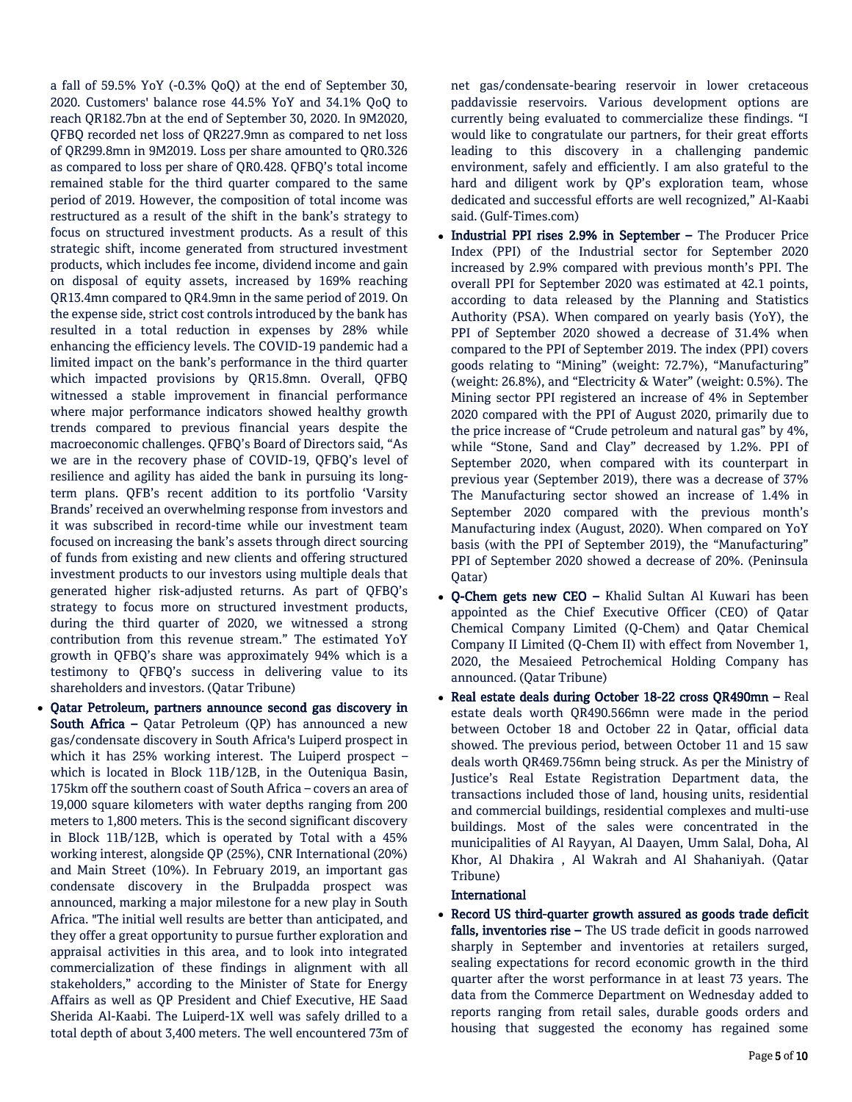a fall of 59.5% YoY (-0.3% QoQ) at the end of September 30, 2020. Customers' balance rose 44.5% YoY and 34.1% QoQ to reach QR182.7bn at the end of September 30, 2020. In 9M2020, QFBQ recorded net loss of QR227.9mn as compared to net loss of QR299.8mn in 9M2019. Loss per share amounted to QR0.326 as compared to loss per share of QR0.428. QFBQ's total income remained stable for the third quarter compared to the same period of 2019. However, the composition of total income was restructured as a result of the shift in the bank's strategy to focus on structured investment products. As a result of this strategic shift, income generated from structured investment products, which includes fee income, dividend income and gain on disposal of equity assets, increased by 169% reaching QR13.4mn compared to QR4.9mn in the same period of 2019. On the expense side, strict cost controls introduced by the bank has resulted in a total reduction in expenses by 28% while enhancing the efficiency levels. The COVID-19 pandemic had a limited impact on the bank's performance in the third quarter which impacted provisions by QR15.8mn. Overall, QFBQ witnessed a stable improvement in financial performance where major performance indicators showed healthy growth trends compared to previous financial years despite the macroeconomic challenges. QFBQ's Board of Directors said, "As we are in the recovery phase of COVID-19, QFBQ's level of resilience and agility has aided the bank in pursuing its longterm plans. QFB's recent addition to its portfolio 'Varsity Brands' received an overwhelming response from investors and it was subscribed in record-time while our investment team focused on increasing the bank's assets through direct sourcing of funds from existing and new clients and offering structured investment products to our investors using multiple deals that generated higher risk-adjusted returns. As part of QFBQ's strategy to focus more on structured investment products, during the third quarter of 2020, we witnessed a strong contribution from this revenue stream." The estimated YoY growth in QFBQ's share was approximately 94% which is a testimony to QFBQ's success in delivering value to its shareholders and investors. (Qatar Tribune)

 Qatar Petroleum, partners announce second gas discovery in South Africa – Qatar Petroleum (QP) has announced a new gas/condensate discovery in South Africa's Luiperd prospect in which it has 25% working interest. The Luiperd prospect – which is located in Block 11B/12B, in the Outeniqua Basin, 175km off the southern coast of South Africa – covers an area of 19,000 square kilometers with water depths ranging from 200 meters to 1,800 meters. This is the second significant discovery in Block 11B/12B, which is operated by Total with a 45% working interest, alongside QP (25%), CNR International (20%) and Main Street (10%). In February 2019, an important gas condensate discovery in the Brulpadda prospect was announced, marking a major milestone for a new play in South Africa. "The initial well results are better than anticipated, and they offer a great opportunity to pursue further exploration and appraisal activities in this area, and to look into integrated commercialization of these findings in alignment with all stakeholders," according to the Minister of State for Energy Affairs as well as QP President and Chief Executive, HE Saad Sherida Al-Kaabi. The Luiperd-1X well was safely drilled to a total depth of about 3,400 meters. The well encountered 73m of net gas/condensate-bearing reservoir in lower cretaceous paddavissie reservoirs. Various development options are currently being evaluated to commercialize these findings. "I would like to congratulate our partners, for their great efforts leading to this discovery in a challenging pandemic environment, safely and efficiently. I am also grateful to the hard and diligent work by QP's exploration team, whose dedicated and successful efforts are well recognized," Al-Kaabi said. (Gulf-Times.com)

- Industrial PPI rises 2.9% in September The Producer Price Index (PPI) of the Industrial sector for September 2020 increased by 2.9% compared with previous month's PPI. The overall PPI for September 2020 was estimated at 42.1 points, according to data released by the Planning and Statistics Authority (PSA). When compared on yearly basis (YoY), the PPI of September 2020 showed a decrease of 31.4% when compared to the PPI of September 2019. The index (PPI) covers goods relating to "Mining" (weight: 72.7%), "Manufacturing" (weight: 26.8%), and "Electricity & Water" (weight: 0.5%). The Mining sector PPI registered an increase of 4% in September 2020 compared with the PPI of August 2020, primarily due to the price increase of "Crude petroleum and natural gas" by 4%, while "Stone, Sand and Clay" decreased by 1.2%. PPI of September 2020, when compared with its counterpart in previous year (September 2019), there was a decrease of 37% The Manufacturing sector showed an increase of 1.4% in September 2020 compared with the previous month's Manufacturing index (August, 2020). When compared on YoY basis (with the PPI of September 2019), the "Manufacturing" PPI of September 2020 showed a decrease of 20%. (Peninsula Qatar)
- Q-Chem gets new CEO Khalid Sultan Al Kuwari has been appointed as the Chief Executive Officer (CEO) of Qatar Chemical Company Limited (Q-Chem) and Qatar Chemical Company II Limited (Q-Chem II) with effect from November 1, 2020, the Mesaieed Petrochemical Holding Company has announced. (Qatar Tribune)
- Real estate deals during October 18-22 cross QR490mn Real estate deals worth QR490.566mn were made in the period between October 18 and October 22 in Qatar, official data showed. The previous period, between October 11 and 15 saw deals worth QR469.756mn being struck. As per the Ministry of Justice's Real Estate Registration Department data, the transactions included those of land, housing units, residential and commercial buildings, residential complexes and multi-use buildings. Most of the sales were concentrated in the municipalities of Al Rayyan, Al Daayen, Umm Salal, Doha, Al Khor, Al Dhakira , Al Wakrah and Al Shahaniyah. (Qatar Tribune)

## International

 Record US third-quarter growth assured as goods trade deficit falls, inventories rise - The US trade deficit in goods narrowed sharply in September and inventories at retailers surged, sealing expectations for record economic growth in the third quarter after the worst performance in at least 73 years. The data from the Commerce Department on Wednesday added to reports ranging from retail sales, durable goods orders and housing that suggested the economy has regained some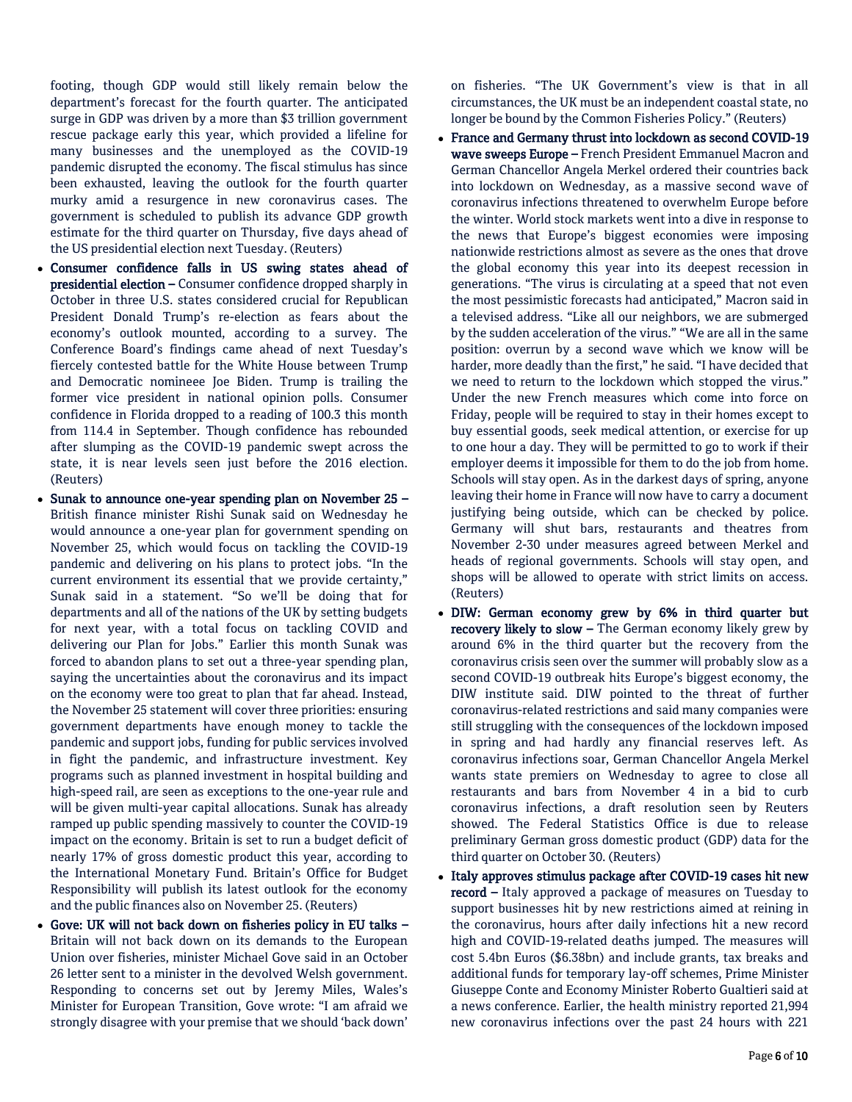footing, though GDP would still likely remain below the department's forecast for the fourth quarter. The anticipated surge in GDP was driven by a more than \$3 trillion government rescue package early this year, which provided a lifeline for many businesses and the unemployed as the COVID-19 pandemic disrupted the economy. The fiscal stimulus has since been exhausted, leaving the outlook for the fourth quarter murky amid a resurgence in new coronavirus cases. The government is scheduled to publish its advance GDP growth estimate for the third quarter on Thursday, five days ahead of the US presidential election next Tuesday. (Reuters)

- Consumer confidence falls in US swing states ahead of presidential election – Consumer confidence dropped sharply in October in three U.S. states considered crucial for Republican President Donald Trump's re-election as fears about the economy's outlook mounted, according to a survey. The Conference Board's findings came ahead of next Tuesday's fiercely contested battle for the White House between Trump and Democratic nomineee Joe Biden. Trump is trailing the former vice president in national opinion polls. Consumer confidence in Florida dropped to a reading of 100.3 this month from 114.4 in September. Though confidence has rebounded after slumping as the COVID-19 pandemic swept across the state, it is near levels seen just before the 2016 election. (Reuters)
- Sunak to announce one-year spending plan on November 25 British finance minister Rishi Sunak said on Wednesday he would announce a one-year plan for government spending on November 25, which would focus on tackling the COVID-19 pandemic and delivering on his plans to protect jobs. "In the current environment its essential that we provide certainty," Sunak said in a statement. "So we'll be doing that for departments and all of the nations of the UK by setting budgets for next year, with a total focus on tackling COVID and delivering our Plan for Jobs." Earlier this month Sunak was forced to abandon plans to set out a three-year spending plan, saying the uncertainties about the coronavirus and its impact on the economy were too great to plan that far ahead. Instead, the November 25 statement will cover three priorities: ensuring government departments have enough money to tackle the pandemic and support jobs, funding for public services involved in fight the pandemic, and infrastructure investment. Key programs such as planned investment in hospital building and high-speed rail, are seen as exceptions to the one-year rule and will be given multi-year capital allocations. Sunak has already ramped up public spending massively to counter the COVID-19 impact on the economy. Britain is set to run a budget deficit of nearly 17% of gross domestic product this year, according to the International Monetary Fund. Britain's Office for Budget Responsibility will publish its latest outlook for the economy and the public finances also on November 25. (Reuters)
- Gove: UK will not back down on fisheries policy in EU talks Britain will not back down on its demands to the European Union over fisheries, minister Michael Gove said in an October 26 letter sent to a minister in the devolved Welsh government. Responding to concerns set out by Jeremy Miles, Wales's Minister for European Transition, Gove wrote: "I am afraid we strongly disagree with your premise that we should 'back down'

on fisheries. "The UK Government's view is that in all circumstances, the UK must be an independent coastal state, no longer be bound by the Common Fisheries Policy." (Reuters)

- France and Germany thrust into lockdown as second COVID-19 wave sweeps Europe – French President Emmanuel Macron and German Chancellor Angela Merkel ordered their countries back into lockdown on Wednesday, as a massive second wave of coronavirus infections threatened to overwhelm Europe before the winter. World stock markets went into a dive in response to the news that Europe's biggest economies were imposing nationwide restrictions almost as severe as the ones that drove the global economy this year into its deepest recession in generations. "The virus is circulating at a speed that not even the most pessimistic forecasts had anticipated," Macron said in a televised address. "Like all our neighbors, we are submerged by the sudden acceleration of the virus." "We are all in the same position: overrun by a second wave which we know will be harder, more deadly than the first," he said. "I have decided that we need to return to the lockdown which stopped the virus." Under the new French measures which come into force on Friday, people will be required to stay in their homes except to buy essential goods, seek medical attention, or exercise for up to one hour a day. They will be permitted to go to work if their employer deems it impossible for them to do the job from home. Schools will stay open. As in the darkest days of spring, anyone leaving their home in France will now have to carry a document justifying being outside, which can be checked by police. Germany will shut bars, restaurants and theatres from November 2-30 under measures agreed between Merkel and heads of regional governments. Schools will stay open, and shops will be allowed to operate with strict limits on access. (Reuters)
- DIW: German economy grew by 6% in third quarter but recovery likely to slow – The German economy likely grew by around 6% in the third quarter but the recovery from the coronavirus crisis seen over the summer will probably slow as a second COVID-19 outbreak hits Europe's biggest economy, the DIW institute said. DIW pointed to the threat of further coronavirus-related restrictions and said many companies were still struggling with the consequences of the lockdown imposed in spring and had hardly any financial reserves left. As coronavirus infections soar, German Chancellor Angela Merkel wants state premiers on Wednesday to agree to close all restaurants and bars from November 4 in a bid to curb coronavirus infections, a draft resolution seen by Reuters showed. The Federal Statistics Office is due to release preliminary German gross domestic product (GDP) data for the third quarter on October 30. (Reuters)
- Italy approves stimulus package after COVID-19 cases hit new record – Italy approved a package of measures on Tuesday to support businesses hit by new restrictions aimed at reining in the coronavirus, hours after daily infections hit a new record high and COVID-19-related deaths jumped. The measures will cost 5.4bn Euros (\$6.38bn) and include grants, tax breaks and additional funds for temporary lay-off schemes, Prime Minister Giuseppe Conte and Economy Minister Roberto Gualtieri said at a news conference. Earlier, the health ministry reported 21,994 new coronavirus infections over the past 24 hours with 221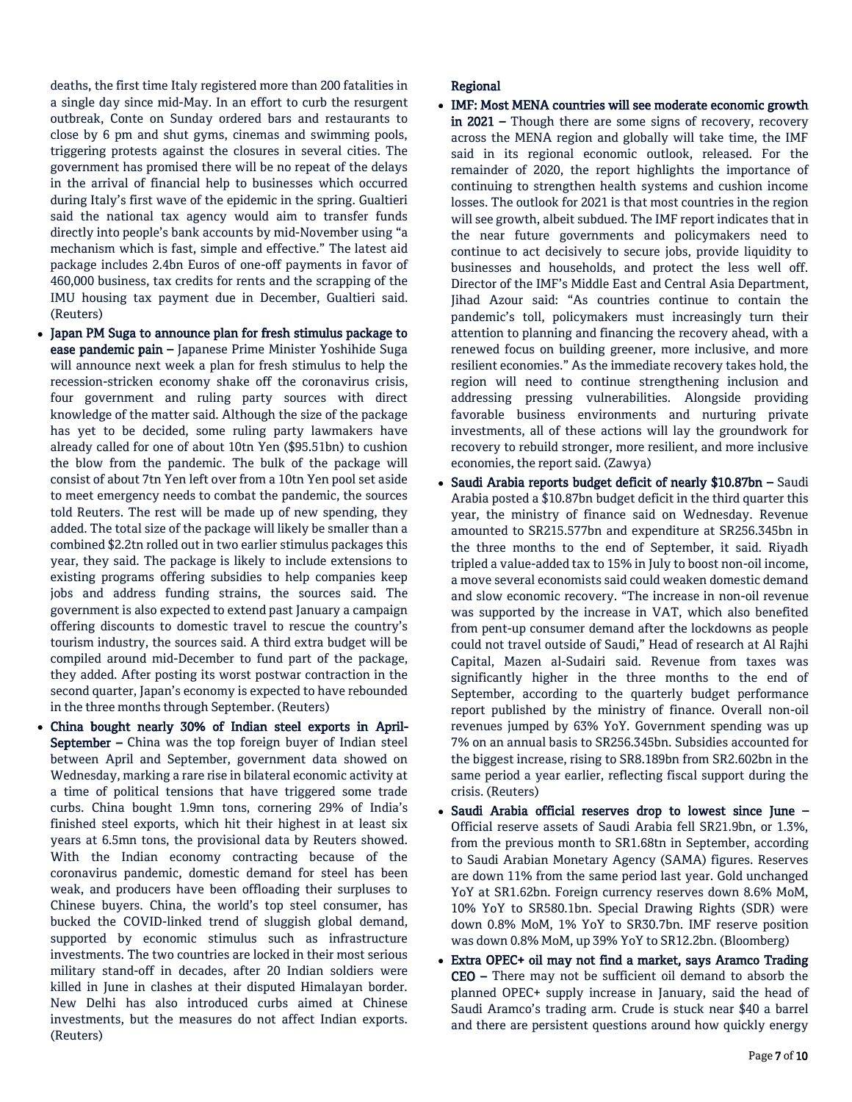deaths, the first time Italy registered more than 200 fatalities in a single day since mid-May. In an effort to curb the resurgent outbreak, Conte on Sunday ordered bars and restaurants to close by 6 pm and shut gyms, cinemas and swimming pools, triggering protests against the closures in several cities. The government has promised there will be no repeat of the delays in the arrival of financial help to businesses which occurred during Italy's first wave of the epidemic in the spring. Gualtieri said the national tax agency would aim to transfer funds directly into people's bank accounts by mid-November using "a mechanism which is fast, simple and effective." The latest aid package includes 2.4bn Euros of one-off payments in favor of 460,000 business, tax credits for rents and the scrapping of the IMU housing tax payment due in December, Gualtieri said. (Reuters)

- Japan PM Suga to announce plan for fresh stimulus package to ease pandemic pain – Japanese Prime Minister Yoshihide Suga will announce next week a plan for fresh stimulus to help the recession-stricken economy shake off the coronavirus crisis, four government and ruling party sources with direct knowledge of the matter said. Although the size of the package has yet to be decided, some ruling party lawmakers have already called for one of about 10tn Yen (\$95.51bn) to cushion the blow from the pandemic. The bulk of the package will consist of about 7tn Yen left over from a 10tn Yen pool set aside to meet emergency needs to combat the pandemic, the sources told Reuters. The rest will be made up of new spending, they added. The total size of the package will likely be smaller than a combined \$2.2tn rolled out in two earlier stimulus packages this year, they said. The package is likely to include extensions to existing programs offering subsidies to help companies keep jobs and address funding strains, the sources said. The government is also expected to extend past January a campaign offering discounts to domestic travel to rescue the country's tourism industry, the sources said. A third extra budget will be compiled around mid-December to fund part of the package, they added. After posting its worst postwar contraction in the second quarter, Japan's economy is expected to have rebounded in the three months through September. (Reuters)
- China bought nearly 30% of Indian steel exports in April-September - China was the top foreign buyer of Indian steel between April and September, government data showed on Wednesday, marking a rare rise in bilateral economic activity at a time of political tensions that have triggered some trade curbs. China bought 1.9mn tons, cornering 29% of India's finished steel exports, which hit their highest in at least six years at 6.5mn tons, the provisional data by Reuters showed. With the Indian economy contracting because of the coronavirus pandemic, domestic demand for steel has been weak, and producers have been offloading their surpluses to Chinese buyers. China, the world's top steel consumer, has bucked the COVID-linked trend of sluggish global demand, supported by economic stimulus such as infrastructure investments. The two countries are locked in their most serious military stand-off in decades, after 20 Indian soldiers were killed in June in clashes at their disputed Himalayan border. New Delhi has also introduced curbs aimed at Chinese investments, but the measures do not affect Indian exports. (Reuters)

## Regional

## IMF: Most MENA countries will see moderate economic growth

in 2021 – Though there are some signs of recovery, recovery across the MENA region and globally will take time, the IMF said in its regional economic outlook, released. For the remainder of 2020, the report highlights the importance of continuing to strengthen health systems and cushion income losses. The outlook for 2021 is that most countries in the region will see growth, albeit subdued. The IMF report indicates that in the near future governments and policymakers need to continue to act decisively to secure jobs, provide liquidity to businesses and households, and protect the less well off. Director of the IMF's Middle East and Central Asia Department, Jihad Azour said: "As countries continue to contain the pandemic's toll, policymakers must increasingly turn their attention to planning and financing the recovery ahead, with a renewed focus on building greener, more inclusive, and more resilient economies." As the immediate recovery takes hold, the region will need to continue strengthening inclusion and addressing pressing vulnerabilities. Alongside providing favorable business environments and nurturing private investments, all of these actions will lay the groundwork for recovery to rebuild stronger, more resilient, and more inclusive economies, the report said. (Zawya)

- Saudi Arabia reports budget deficit of nearly \$10.87bn Saudi Arabia posted a \$10.87bn budget deficit in the third quarter this year, the ministry of finance said on Wednesday. Revenue amounted to SR215.577bn and expenditure at SR256.345bn in the three months to the end of September, it said. Riyadh tripled a value-added tax to 15% in July to boost non-oil income, a move several economists said could weaken domestic demand and slow economic recovery. "The increase in non-oil revenue was supported by the increase in VAT, which also benefited from pent-up consumer demand after the lockdowns as people could not travel outside of Saudi," Head of research at Al Rajhi Capital, Mazen al-Sudairi said. Revenue from taxes was significantly higher in the three months to the end of September, according to the quarterly budget performance report published by the ministry of finance. Overall non-oil revenues jumped by 63% YoY. Government spending was up 7% on an annual basis to SR256.345bn. Subsidies accounted for the biggest increase, rising to SR8.189bn from SR2.602bn in the same period a year earlier, reflecting fiscal support during the crisis. (Reuters)
- Saudi Arabia official reserves drop to lowest since June Official reserve assets of Saudi Arabia fell SR21.9bn, or 1.3%, from the previous month to SR1.68tn in September, according to Saudi Arabian Monetary Agency (SAMA) figures. Reserves are down 11% from the same period last year. Gold unchanged YoY at SR1.62bn. Foreign currency reserves down 8.6% MoM, 10% YoY to SR580.1bn. Special Drawing Rights (SDR) were down 0.8% MoM, 1% YoY to SR30.7bn. IMF reserve position was down 0.8% MoM, up 39% YoY to SR12.2bn. (Bloomberg)
- Extra OPEC+ oil may not find a market, says Aramco Trading CEO – There may not be sufficient oil demand to absorb the planned OPEC+ supply increase in January, said the head of Saudi Aramco's trading arm. Crude is stuck near \$40 a barrel and there are persistent questions around how quickly energy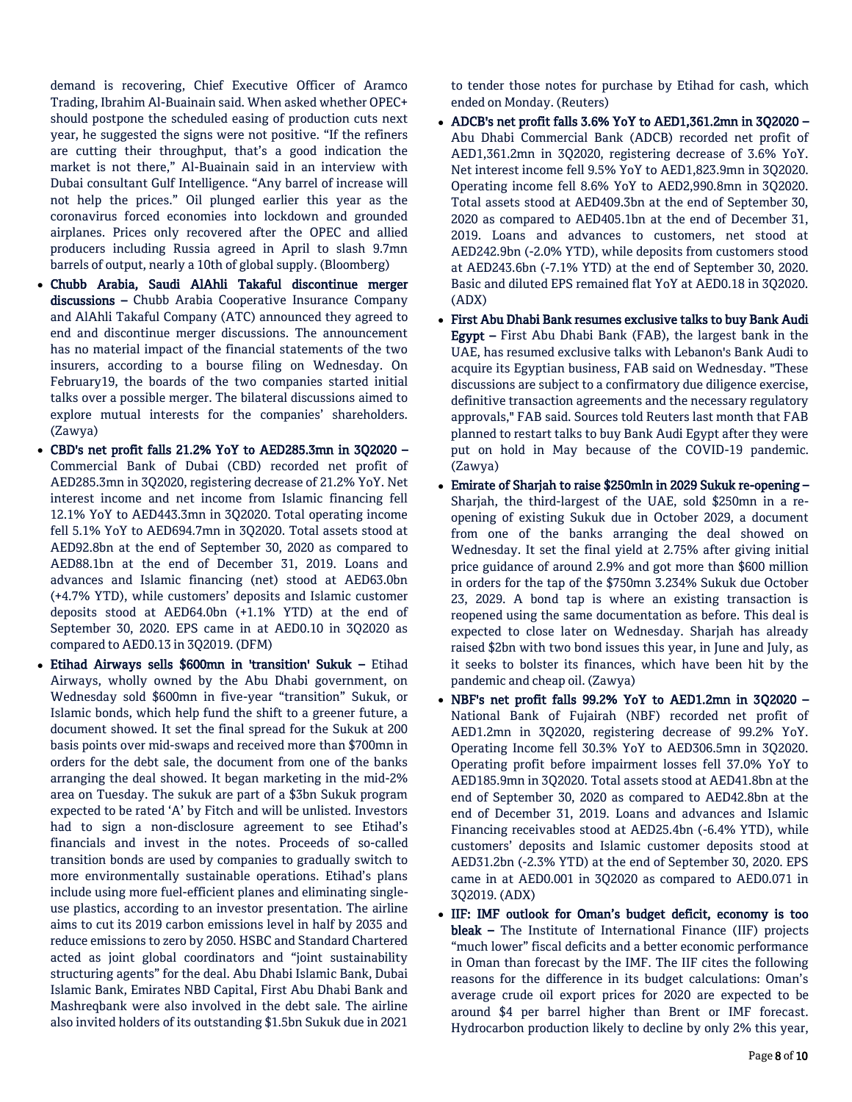demand is recovering, Chief Executive Officer of Aramco Trading, Ibrahim Al-Buainain said. When asked whether OPEC+ should postpone the scheduled easing of production cuts next year, he suggested the signs were not positive. "If the refiners are cutting their throughput, that's a good indication the market is not there," Al-Buainain said in an interview with Dubai consultant Gulf Intelligence. "Any barrel of increase will not help the prices." Oil plunged earlier this year as the coronavirus forced economies into lockdown and grounded airplanes. Prices only recovered after the OPEC and allied producers including Russia agreed in April to slash 9.7mn barrels of output, nearly a 10th of global supply. (Bloomberg)

- Chubb Arabia, Saudi AlAhli Takaful discontinue merger discussions - Chubb Arabia Cooperative Insurance Company and AlAhli Takaful Company (ATC) announced they agreed to end and discontinue merger discussions. The announcement has no material impact of the financial statements of the two insurers, according to a bourse filing on Wednesday. On February19, the boards of the two companies started initial talks over a possible merger. The bilateral discussions aimed to explore mutual interests for the companies' shareholders. (Zawya)
- CBD's net profit falls 21.2% YoY to AED285.3mn in 3Q2020 Commercial Bank of Dubai (CBD) recorded net profit of AED285.3mn in 3Q2020, registering decrease of 21.2% YoY. Net interest income and net income from Islamic financing fell 12.1% YoY to AED443.3mn in 3Q2020. Total operating income fell 5.1% YoY to AED694.7mn in 3Q2020. Total assets stood at AED92.8bn at the end of September 30, 2020 as compared to AED88.1bn at the end of December 31, 2019. Loans and advances and Islamic financing (net) stood at AED63.0bn (+4.7% YTD), while customers' deposits and Islamic customer deposits stood at AED64.0bn (+1.1% YTD) at the end of September 30, 2020. EPS came in at AED0.10 in 3Q2020 as compared to AED0.13 in 3Q2019. (DFM)
- Etihad Airways sells \$600mn in 'transition' Sukuk Etihad Airways, wholly owned by the Abu Dhabi government, on Wednesday sold \$600mn in five-year "transition" Sukuk, or Islamic bonds, which help fund the shift to a greener future, a document showed. It set the final spread for the Sukuk at 200 basis points over mid-swaps and received more than \$700mn in orders for the debt sale, the document from one of the banks arranging the deal showed. It began marketing in the mid-2% area on Tuesday. The sukuk are part of a \$3bn Sukuk program expected to be rated 'A' by Fitch and will be unlisted. Investors had to sign a non-disclosure agreement to see Etihad's financials and invest in the notes. Proceeds of so-called transition bonds are used by companies to gradually switch to more environmentally sustainable operations. Etihad's plans include using more fuel-efficient planes and eliminating singleuse plastics, according to an investor presentation. The airline aims to cut its 2019 carbon emissions level in half by 2035 and reduce emissions to zero by 2050. HSBC and Standard Chartered acted as joint global coordinators and "joint sustainability structuring agents" for the deal. Abu Dhabi Islamic Bank, Dubai Islamic Bank, Emirates NBD Capital, First Abu Dhabi Bank and Mashreqbank were also involved in the debt sale. The airline also invited holders of its outstanding \$1.5bn Sukuk due in 2021

to tender those notes for purchase by Etihad for cash, which ended on Monday. (Reuters)

- ADCB's net profit falls 3.6% YoY to AED1,361.2mn in 3Q2020 Abu Dhabi Commercial Bank (ADCB) recorded net profit of AED1,361.2mn in 3Q2020, registering decrease of 3.6% YoY. Net interest income fell 9.5% YoY to AED1,823.9mn in 3Q2020. Operating income fell 8.6% YoY to AED2,990.8mn in 3Q2020. Total assets stood at AED409.3bn at the end of September 30, 2020 as compared to AED405.1bn at the end of December 31, 2019. Loans and advances to customers, net stood at AED242.9bn (-2.0% YTD), while deposits from customers stood at AED243.6bn (-7.1% YTD) at the end of September 30, 2020. Basic and diluted EPS remained flat YoY at AED0.18 in 3Q2020. (ADX)
- First Abu Dhabi Bank resumes exclusive talks to buy Bank Audi Egypt – First Abu Dhabi Bank (FAB), the largest bank in the UAE, has resumed exclusive talks with Lebanon's Bank Audi to acquire its Egyptian business, FAB said on Wednesday. "These discussions are subject to a confirmatory due diligence exercise, definitive transaction agreements and the necessary regulatory approvals," FAB said. Sources told Reuters last month that FAB planned to restart talks to buy Bank Audi Egypt after they were put on hold in May because of the COVID-19 pandemic. (Zawya)
- Emirate of Sharjah to raise \$250mln in 2029 Sukuk re-opening Sharjah, the third-largest of the UAE, sold \$250mn in a reopening of existing Sukuk due in October 2029, a document from one of the banks arranging the deal showed on Wednesday. It set the final yield at 2.75% after giving initial price guidance of around 2.9% and got more than \$600 million in orders for the tap of the \$750mn 3.234% Sukuk due October 23, 2029. A bond tap is where an existing transaction is reopened using the same documentation as before. This deal is expected to close later on Wednesday. Sharjah has already raised \$2bn with two bond issues this year, in June and July, as it seeks to bolster its finances, which have been hit by the pandemic and cheap oil. (Zawya)
- NBF's net profit falls 99.2% YoY to AED1.2mn in 3Q2020 National Bank of Fujairah (NBF) recorded net profit of AED1.2mn in 3Q2020, registering decrease of 99.2% YoY. Operating Income fell 30.3% YoY to AED306.5mn in 3Q2020. Operating profit before impairment losses fell 37.0% YoY to AED185.9mn in 3Q2020. Total assets stood at AED41.8bn at the end of September 30, 2020 as compared to AED42.8bn at the end of December 31, 2019. Loans and advances and Islamic Financing receivables stood at AED25.4bn (-6.4% YTD), while customers' deposits and Islamic customer deposits stood at AED31.2bn (-2.3% YTD) at the end of September 30, 2020. EPS came in at AED0.001 in 3Q2020 as compared to AED0.071 in 3Q2019. (ADX)
- IIF: IMF outlook for Oman's budget deficit, economy is too bleak - The Institute of International Finance (IIF) projects "much lower" fiscal deficits and a better economic performance in Oman than forecast by the IMF. The IIF cites the following reasons for the difference in its budget calculations: Oman's average crude oil export prices for 2020 are expected to be around \$4 per barrel higher than Brent or IMF forecast. Hydrocarbon production likely to decline by only 2% this year,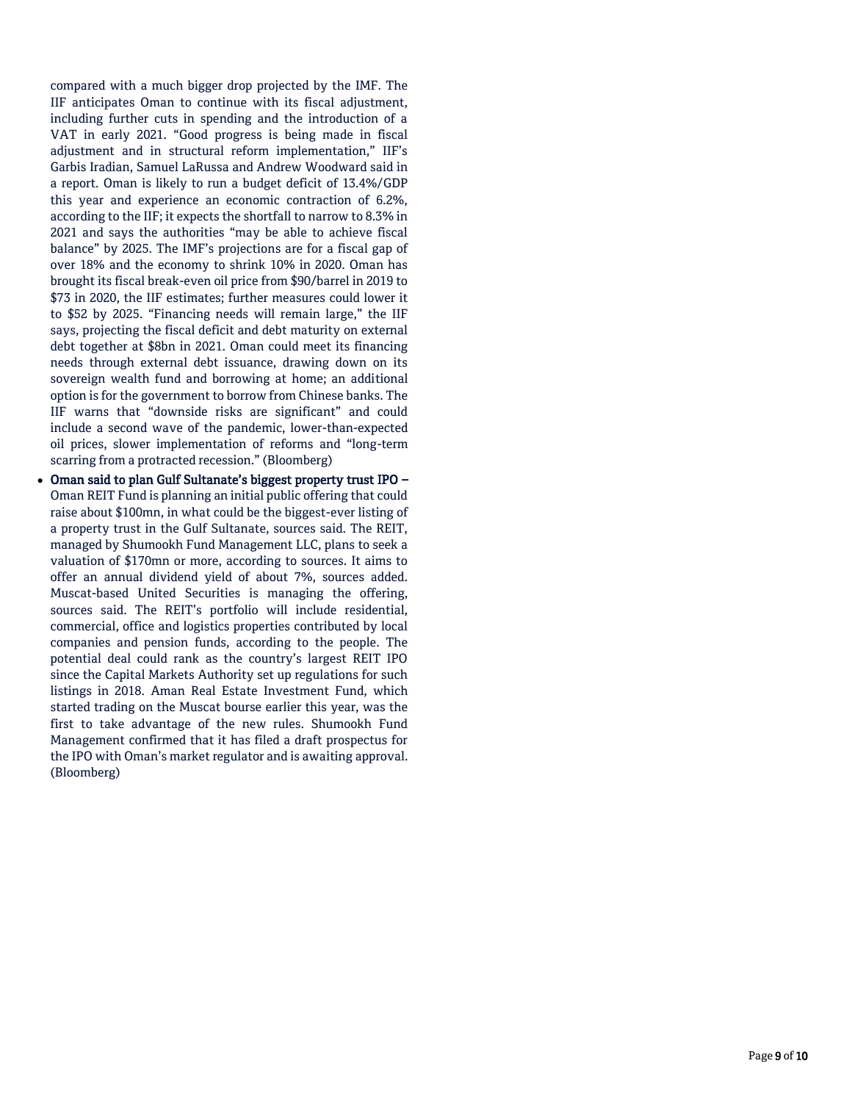compared with a much bigger drop projected by the IMF. The IIF anticipates Oman to continue with its fiscal adjustment, including further cuts in spending and the introduction of a VAT in early 2021. "Good progress is being made in fiscal adjustment and in structural reform implementation," IIF's Garbis Iradian, Samuel LaRussa and Andrew Woodward said in a report. Oman is likely to run a budget deficit of 13.4%/GDP this year and experience an economic contraction of 6.2%, according to the IIF; it expects the shortfall to narrow to 8.3% in 2021 and says the authorities "may be able to achieve fiscal balance" by 2025. The IMF's projections are for a fiscal gap of over 18% and the economy to shrink 10% in 2020. Oman has brought its fiscal break -even oil price from \$90/barrel in 2019 to \$73 in 2020, the IIF estimates; further measures could lower it to \$52 by 2025. "Financing needs will remain large," the IIF says, projecting the fiscal deficit and debt maturity on external debt together at \$8bn in 2021. Oman could meet its financing needs through external debt issuance, drawing down on its sovereign wealth fund and borrowing at home; an additional option is for the government to borrow from Chinese banks. The IIF warns that "downside risks are significant" and could include a second wave of the pandemic, lower -than -expected oil prices, slower implementation of reforms and "long -term scarring from a protracted recession." (Bloomberg)

 Oman said to plan Gulf Sultanate's biggest property trust IPO – Oman REIT Fund is planning an initial public offering that could raise about \$100mn, in what could be the biggest -ever listing of a property trust in the Gulf Sultanate, sources said. The REIT, managed by Shumookh Fund Management LLC, plans to seek a valuation of \$170mn or more, according to sources. It aims to offer an annual dividend yield of about 7%, sources added. Muscat -based United Securities is managing the offering, sources said. The REIT's portfolio will include residential, commercial, office and logistics properties contributed by local companies and pension funds, according to the people. The potential deal could rank as the country's largest REIT IPO since the Capital Markets Authority set up regulations for such listings in 2018. Aman Real Estate Investment Fund, which started trading on the Muscat bourse earlier this year, was the first to take advantage of the new rules. Shumookh Fund Management confirmed that it has filed a draft prospectus for the IPO with Oman's market regulator and is awaiting approval. (Bloomberg)